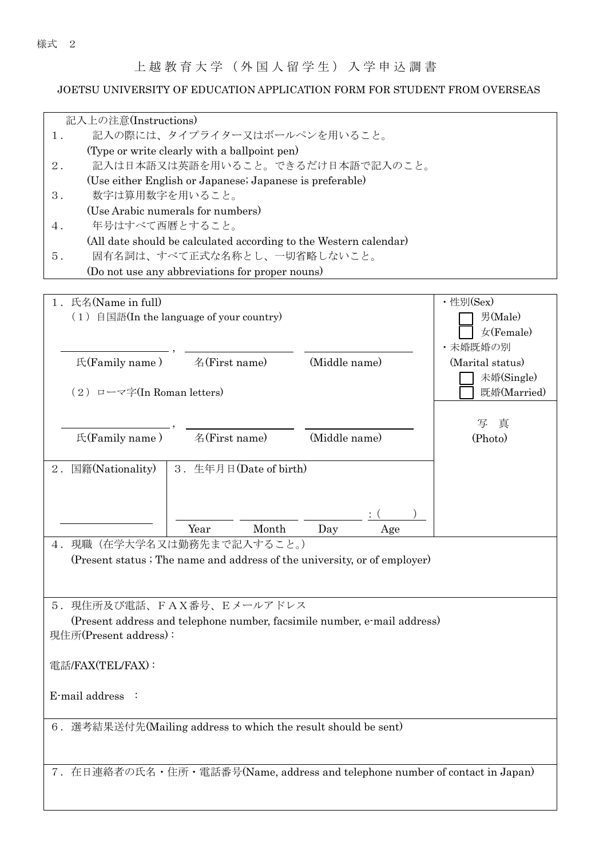上越教育大学(外国人留学生)入学申込調 書

## JOETSU UNIVERSITY OF EDUCATION APPLICATION FORM FOR STUDENT FROM OVERSEAS

| 記入上の注意(Instructions)                                                        |                  |  |  |  |  |
|-----------------------------------------------------------------------------|------------------|--|--|--|--|
| 記入の際には、タイプライター又はボールペンを用いること。<br>$1$ .                                       |                  |  |  |  |  |
| (Type or write clearly with a ballpoint pen)                                |                  |  |  |  |  |
| 記入は日本語又は英語を用いること。できるだけ日本語で記入のこと。<br>$2$ .                                   |                  |  |  |  |  |
| (Use either English or Japanese; Japanese is preferable)                    |                  |  |  |  |  |
| 数字は算用数字を用いること。<br>$3$ .                                                     |                  |  |  |  |  |
| (Use Arabic numerals for numbers)                                           |                  |  |  |  |  |
| 年号はすべて西暦とすること。<br>4.                                                        |                  |  |  |  |  |
| (All date should be calculated according to the Western calendar)           |                  |  |  |  |  |
| 固有名詞は、すべて正式な名称とし、一切省略しないこと。<br>5.                                           |                  |  |  |  |  |
| (Do not use any abbreviations for proper nouns)                             |                  |  |  |  |  |
|                                                                             |                  |  |  |  |  |
| 1. 氏名(Name in full)                                                         | ・性別(Sex)         |  |  |  |  |
| $(1)$ 自国語(In the language of your country)                                  | 男(Male)          |  |  |  |  |
|                                                                             | 女(Female)        |  |  |  |  |
|                                                                             |                  |  |  |  |  |
|                                                                             | ・未婚既婚の別          |  |  |  |  |
| 名(First name)<br>E(Family name)<br>(Middle name)                            | (Marital status) |  |  |  |  |
|                                                                             | 未婚(Single)       |  |  |  |  |
| $(2)$ ローマ字(In Roman letters)                                                | 既婚(Married)      |  |  |  |  |
|                                                                             |                  |  |  |  |  |
|                                                                             | 写<br>真           |  |  |  |  |
| 名(First name)<br>E(Family name)<br>(Middle name)                            | (Photo)          |  |  |  |  |
|                                                                             |                  |  |  |  |  |
| 国籍(Nationality)<br>3. 生年月日(Date of birth)<br>$2$ .                          |                  |  |  |  |  |
|                                                                             |                  |  |  |  |  |
|                                                                             |                  |  |  |  |  |
|                                                                             |                  |  |  |  |  |
| Month<br>Year<br>Day<br>Age                                                 |                  |  |  |  |  |
| 4. 現職(在学大学名又は勤務先まで記入すること。)                                                  |                  |  |  |  |  |
| (Present status ; The name and address of the university, or of employer)   |                  |  |  |  |  |
|                                                                             |                  |  |  |  |  |
|                                                                             |                  |  |  |  |  |
| 5.現住所及び電話、FAX番号、Eメールアドレス                                                    |                  |  |  |  |  |
|                                                                             |                  |  |  |  |  |
| (Present address and telephone number, facsimile number, e-mail address)    |                  |  |  |  |  |
| 現住所(Present address):                                                       |                  |  |  |  |  |
|                                                                             |                  |  |  |  |  |
| 電話/FAX(TEL/FAX):                                                            |                  |  |  |  |  |
|                                                                             |                  |  |  |  |  |
| E-mail address :                                                            |                  |  |  |  |  |
|                                                                             |                  |  |  |  |  |
| 6. 選考結果送付先(Mailing address to which the result should be sent)              |                  |  |  |  |  |
|                                                                             |                  |  |  |  |  |
|                                                                             |                  |  |  |  |  |
| 7. 在日連絡者の氏名・住所・電話番号(Name, address and telephone number of contact in Japan) |                  |  |  |  |  |
|                                                                             |                  |  |  |  |  |
|                                                                             |                  |  |  |  |  |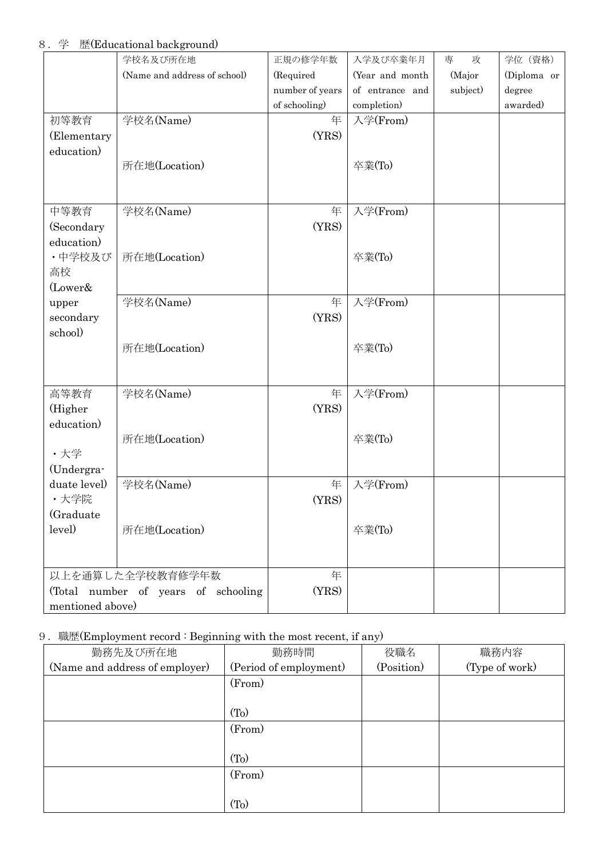8.学 歴(Educational background)

|                                      | 学校名及び所在地                     | 正規の修学年数         | 入学及び卒業年月        | 専<br>攻   | 学位 (資格)     |
|--------------------------------------|------------------------------|-----------------|-----------------|----------|-------------|
|                                      | (Name and address of school) | (Required       | (Year and month | (Major   | (Diploma or |
|                                      |                              | number of years | of entrance and | subject) | degree      |
|                                      |                              | of schooling)   | completion)     |          | awarded)    |
| 初等教育                                 | 学校名(Name)                    | 年               | 入学(From)        |          |             |
| (Elementary                          |                              | (YRS)           |                 |          |             |
| education)                           |                              |                 |                 |          |             |
|                                      | 所在地(Location)                |                 | 卒業(To)          |          |             |
|                                      |                              |                 |                 |          |             |
|                                      |                              |                 |                 |          |             |
| 中等教育                                 | 学校名(Name)                    | 年               | 入学(From)        |          |             |
| (Secondary                           |                              | (YRS)           |                 |          |             |
| education)                           |                              |                 |                 |          |             |
| ・中学校及び                               | 所在地(Location)                |                 | 卒業(To)          |          |             |
| 高校                                   |                              |                 |                 |          |             |
| (Lower&                              |                              |                 |                 |          |             |
| upper                                | 学校名(Name)                    | 年               | 入学(From)        |          |             |
| secondary<br>school)                 |                              | (YRS)           |                 |          |             |
|                                      | 所在地(Location)                |                 | 卒業(To)          |          |             |
|                                      |                              |                 |                 |          |             |
|                                      |                              |                 |                 |          |             |
| 高等教育                                 | 学校名(Name)                    | 年               | 入学(From)        |          |             |
| (Higher                              |                              | (YRS)           |                 |          |             |
| education)                           |                              |                 |                 |          |             |
|                                      | 所在地(Location)                |                 | 卒業(To)          |          |             |
| ·大学                                  |                              |                 |                 |          |             |
| (Undergra-                           |                              |                 |                 |          |             |
| duate level)                         | 学校名(Name)                    | 年               | 入学(From)        |          |             |
| ・大学院                                 |                              | (YRS)           |                 |          |             |
| (Graduate                            |                              |                 |                 |          |             |
| level)                               | 所在地(Location)                |                 | 卒業(To)          |          |             |
|                                      |                              |                 |                 |          |             |
|                                      |                              |                 |                 |          |             |
|                                      | 以上を通算した全学校教育修学年数             | 年               |                 |          |             |
| (Total number of years of schooling) |                              | (YRS)           |                 |          |             |
| mentioned above)                     |                              |                 |                 |          |             |

# 9.職歴(Employment record : Beginning with the most recent, if any)

| 勤務先及び所在地                       | 勤務時間<br>役職名            |            | 職務内容           |  |
|--------------------------------|------------------------|------------|----------------|--|
| (Name and address of employer) | (Period of employment) | (Position) | (Type of work) |  |
|                                | (From)                 |            |                |  |
|                                |                        |            |                |  |
|                                | (T <sub>0</sub> )      |            |                |  |
|                                | (From)                 |            |                |  |
|                                |                        |            |                |  |
|                                | (T <sub>0</sub> )      |            |                |  |
|                                | (From)                 |            |                |  |
|                                |                        |            |                |  |
|                                | (T <sub>O</sub> )      |            |                |  |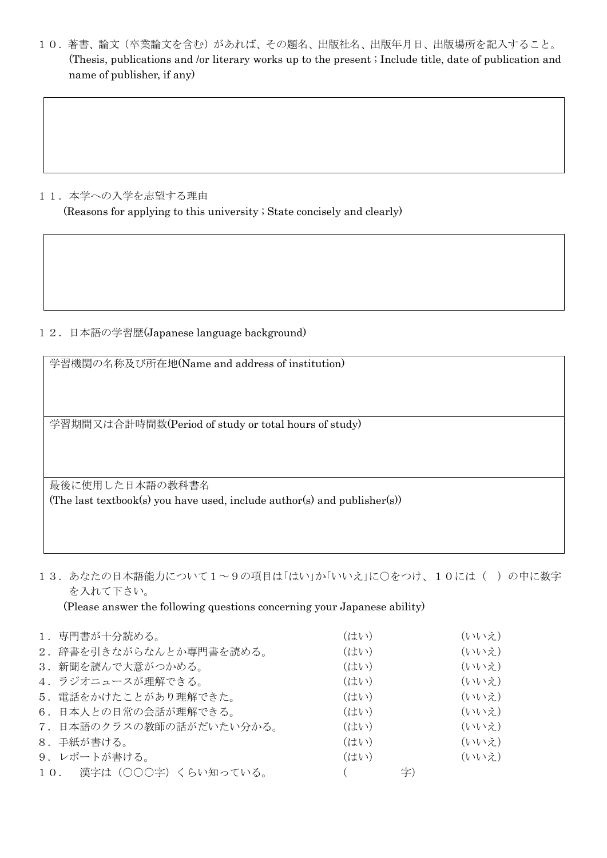10.著書、論文(卒業論文を含む)があれば、その題名、出版社名、出版年月日、出版場所を記入すること。 (Thesis, publications and /or literary works up to the present ; Include title, date of publication and name of publisher, if any)

#### 11. 本学への入学を志望する理由

(Reasons for applying to this university ; State concisely and clearly)

### 12.日本語の学習歴(Japanese language background)

学習機関の名称及び所在地(Name and address of institution)

学習期間又は合計時間数(Period of study or total hours of study)

最後に使用した日本語の教科書名 (The last textbook(s) you have used, include author(s) and publisher(s))

13. あなたの日本語能力について1~9の項目は「はい」か「いいえ」に〇をつけ、10には()の中に数字 を入れて下さい。

(Please answer the following questions concerning your Japanese ability)

| 1. 専門書が十分読める。            | (はい) |    | (いいえ) |
|--------------------------|------|----|-------|
|                          |      |    |       |
| 2. 辞書を引きながらなんとか専門書を読める。  | (はい) |    | (いいえ) |
| 3. 新聞を読んで大意がつかめる。        | (はい) |    | (いいえ) |
| 4. ラジオニュースが理解できる。        | (はい) |    | (いいえ) |
| 5. 電話をかけたことがあり理解できた。     | (はい) |    | (いいえ) |
| 6. 日本人との日常の会話が理解できる。     | (はい) |    | (いいえ) |
| 7. 日本語のクラスの教師の話がだいたい分かる。 | (はい) |    | (いいえ) |
| 8. 手紙が書ける。               | (はい) |    | (いいえ) |
| 9. レポートが書ける。             | (はい) |    | (いいえ) |
| 10. 漢字は(〇〇〇字)くらい知っている。   |      | 字) |       |